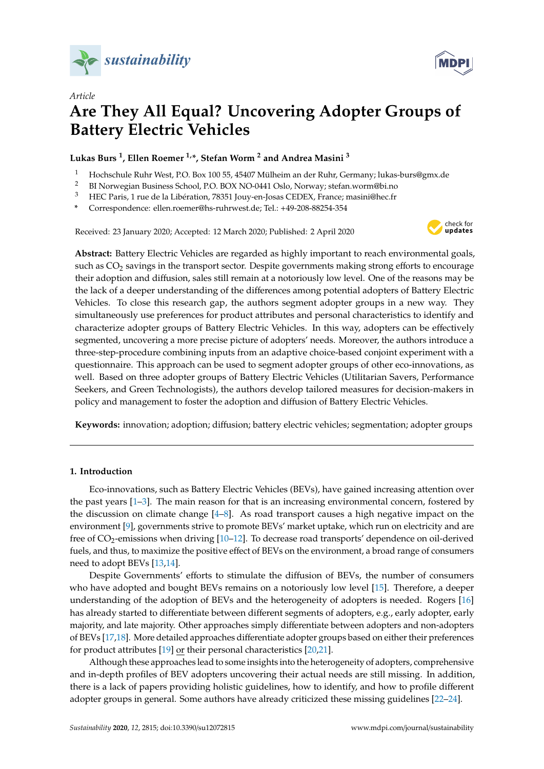

*Article*



# **Are They All Equal? Uncovering Adopter Groups of Battery Electric Vehicles**

**Lukas Burs <sup>1</sup> , Ellen Roemer 1,\*, Stefan Worm <sup>2</sup> and Andrea Masini <sup>3</sup>**

- <sup>1</sup> Hochschule Ruhr West, P.O. Box 100 55, 45407 Mülheim an der Ruhr, Germany; lukas-burs@gmx.de
- <sup>2</sup> BI Norwegian Business School, P.O. BOX NO-0441 Oslo, Norway; stefan.worm@bi.no<br><sup>3</sup> HEC Baris, 1 mp.do.lo Libération, 78251 Jouy on Joses CEDEX, France: magini@boo*fn*
- <sup>3</sup> HEC Paris, 1 rue de la Libération, 78351 Jouy-en-Josas CEDEX, France; masini@hec.fr

**\*** Correspondence: ellen.roemer@hs-ruhrwest.de; Tel.: +49-208-88254-354

Received: 23 January 2020; Accepted: 12 March 2020; Published: 2 April 2020



**Abstract:** Battery Electric Vehicles are regarded as highly important to reach environmental goals, such as CO<sub>2</sub> savings in the transport sector. Despite governments making strong efforts to encourage their adoption and diffusion, sales still remain at a notoriously low level. One of the reasons may be the lack of a deeper understanding of the differences among potential adopters of Battery Electric Vehicles. To close this research gap, the authors segment adopter groups in a new way. They simultaneously use preferences for product attributes and personal characteristics to identify and characterize adopter groups of Battery Electric Vehicles. In this way, adopters can be effectively segmented, uncovering a more precise picture of adopters' needs. Moreover, the authors introduce a three-step-procedure combining inputs from an adaptive choice-based conjoint experiment with a questionnaire. This approach can be used to segment adopter groups of other eco-innovations, as well. Based on three adopter groups of Battery Electric Vehicles (Utilitarian Savers, Performance Seekers, and Green Technologists), the authors develop tailored measures for decision-makers in policy and management to foster the adoption and diffusion of Battery Electric Vehicles.

**Keywords:** innovation; adoption; diffusion; battery electric vehicles; segmentation; adopter groups

## **1. Introduction**

Eco-innovations, such as Battery Electric Vehicles (BEVs), have gained increasing attention over the past years [\[1](#page-12-0)[–3\]](#page-12-1). The main reason for that is an increasing environmental concern, fostered by the discussion on climate change [\[4](#page-12-2)[–8\]](#page-12-3). As road transport causes a high negative impact on the environment [\[9\]](#page-12-4), governments strive to promote BEVs' market uptake, which run on electricity and are free of  $CO_2$ -emissions when driving  $[10-12]$  $[10-12]$ . To decrease road transports' dependence on oil-derived fuels, and thus, to maximize the positive effect of BEVs on the environment, a broad range of consumers need to adopt BEVs [\[13,](#page-13-0)[14\]](#page-13-1).

Despite Governments' efforts to stimulate the diffusion of BEVs, the number of consumers who have adopted and bought BEVs remains on a notoriously low level [\[15\]](#page-13-2). Therefore, a deeper understanding of the adoption of BEVs and the heterogeneity of adopters is needed. Rogers [\[16\]](#page-13-3) has already started to differentiate between different segments of adopters, e.g., early adopter, early majority, and late majority. Other approaches simply differentiate between adopters and non-adopters of BEVs [\[17,](#page-13-4)[18\]](#page-13-5). More detailed approaches differentiate adopter groups based on either their preferences for product attributes [\[19\]](#page-13-6) or their personal characteristics [\[20,](#page-13-7)[21\]](#page-13-8).

Although these approaches lead to some insights into the heterogeneity of adopters, comprehensive and in-depth profiles of BEV adopters uncovering their actual needs are still missing. In addition, there is a lack of papers providing holistic guidelines, how to identify, and how to profile different adopter groups in general. Some authors have already criticized these missing guidelines [\[22–](#page-13-9)[24\]](#page-13-10).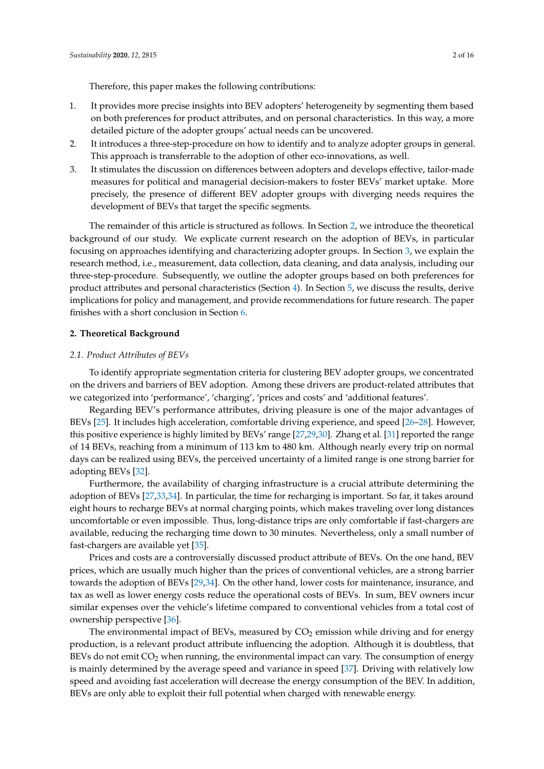- 1. It provides more precise insights into BEV adopters' heterogeneity by segmenting them based on both preferences for product attributes, and on personal characteristics. In this way, a more detailed picture of the adopter groups' actual needs can be uncovered.
- 2. It introduces a three-step-procedure on how to identify and to analyze adopter groups in general. This approach is transferrable to the adoption of other eco-innovations, as well.
- 3. It stimulates the discussion on differences between adopters and develops effective, tailor-made measures for political and managerial decision-makers to foster BEVs' market uptake. More precisely, the presence of different BEV adopter groups with diverging needs requires the development of BEVs that target the specific segments.

The remainder of this article is structured as follows. In Section [2,](#page-1-0) we introduce the theoretical background of our study. We explicate current research on the adoption of BEVs, in particular focusing on approaches identifying and characterizing adopter groups. In Section [3,](#page-4-0) we explain the research method, i.e., measurement, data collection, data cleaning, and data analysis, including our three-step-procedure. Subsequently, we outline the adopter groups based on both preferences for product attributes and personal characteristics (Section [4\)](#page-7-0). In Section [5,](#page-10-0) we discuss the results, derive implications for policy and management, and provide recommendations for future research. The paper finishes with a short conclusion in Section [6.](#page-12-7)

#### <span id="page-1-0"></span>**2. Theoretical Background**

#### <span id="page-1-1"></span>*2.1. Product Attributes of BEVs*

To identify appropriate segmentation criteria for clustering BEV adopter groups, we concentrated on the drivers and barriers of BEV adoption. Among these drivers are product-related attributes that we categorized into 'performance', 'charging', 'prices and costs' and 'additional features'.

Regarding BEV's performance attributes, driving pleasure is one of the major advantages of BEVs [\[25\]](#page-13-11). It includes high acceleration, comfortable driving experience, and speed [\[26–](#page-13-12)[28\]](#page-13-13). However, this positive experience is highly limited by BEVs' range [\[27](#page-13-14)[,29](#page-13-15)[,30\]](#page-13-16). Zhang et al. [\[31\]](#page-13-17) reported the range of 14 BEVs, reaching from a minimum of 113 km to 480 km. Although nearly every trip on normal days can be realized using BEVs, the perceived uncertainty of a limited range is one strong barrier for adopting BEVs [\[32\]](#page-13-18).

Furthermore, the availability of charging infrastructure is a crucial attribute determining the adoption of BEVs [\[27](#page-13-14)[,33](#page-13-19)[,34\]](#page-13-20). In particular, the time for recharging is important. So far, it takes around eight hours to recharge BEVs at normal charging points, which makes traveling over long distances uncomfortable or even impossible. Thus, long-distance trips are only comfortable if fast-chargers are available, reducing the recharging time down to 30 minutes. Nevertheless, only a small number of fast-chargers are available yet [\[35\]](#page-13-21).

Prices and costs are a controversially discussed product attribute of BEVs. On the one hand, BEV prices, which are usually much higher than the prices of conventional vehicles, are a strong barrier towards the adoption of BEVs [\[29](#page-13-15)[,34\]](#page-13-20). On the other hand, lower costs for maintenance, insurance, and tax as well as lower energy costs reduce the operational costs of BEVs. In sum, BEV owners incur similar expenses over the vehicle's lifetime compared to conventional vehicles from a total cost of ownership perspective [\[36\]](#page-14-0).

The environmental impact of BEVs, measured by  $CO<sub>2</sub>$  emission while driving and for energy production, is a relevant product attribute influencing the adoption. Although it is doubtless, that BEVs do not emit  $CO<sub>2</sub>$  when running, the environmental impact can vary. The consumption of energy is mainly determined by the average speed and variance in speed [\[37\]](#page-14-1). Driving with relatively low speed and avoiding fast acceleration will decrease the energy consumption of the BEV. In addition, BEVs are only able to exploit their full potential when charged with renewable energy.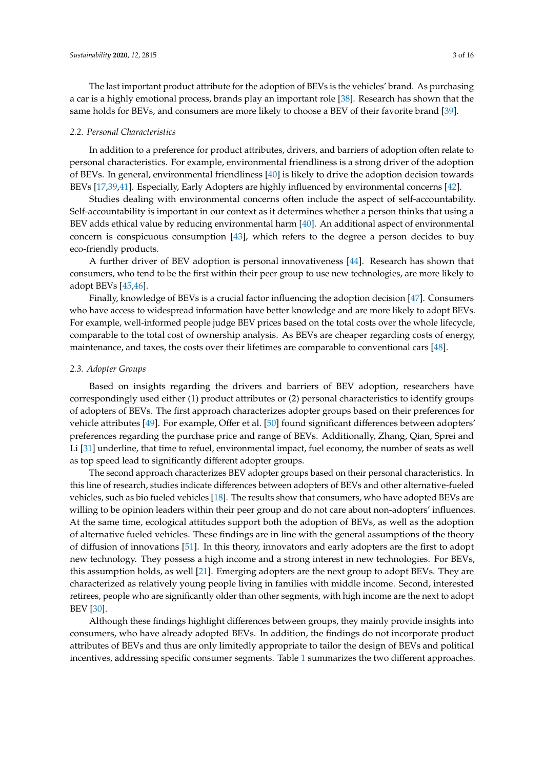The last important product attribute for the adoption of BEVs is the vehicles' brand. As purchasing a car is a highly emotional process, brands play an important role [\[38\]](#page-14-2). Research has shown that the same holds for BEVs, and consumers are more likely to choose a BEV of their favorite brand [\[39\]](#page-14-3).

#### *2.2. Personal Characteristics*

In addition to a preference for product attributes, drivers, and barriers of adoption often relate to personal characteristics. For example, environmental friendliness is a strong driver of the adoption of BEVs. In general, environmental friendliness [\[40\]](#page-14-4) is likely to drive the adoption decision towards BEVs [\[17](#page-13-4)[,39](#page-14-3)[,41\]](#page-14-5). Especially, Early Adopters are highly influenced by environmental concerns [\[42\]](#page-14-6).

Studies dealing with environmental concerns often include the aspect of self-accountability. Self-accountability is important in our context as it determines whether a person thinks that using a BEV adds ethical value by reducing environmental harm [\[40\]](#page-14-4). An additional aspect of environmental concern is conspicuous consumption [\[43\]](#page-14-7), which refers to the degree a person decides to buy eco-friendly products.

A further driver of BEV adoption is personal innovativeness [\[44\]](#page-14-8). Research has shown that consumers, who tend to be the first within their peer group to use new technologies, are more likely to adopt BEVs [\[45,](#page-14-9)[46\]](#page-14-10).

Finally, knowledge of BEVs is a crucial factor influencing the adoption decision [\[47\]](#page-14-11). Consumers who have access to widespread information have better knowledge and are more likely to adopt BEVs. For example, well-informed people judge BEV prices based on the total costs over the whole lifecycle, comparable to the total cost of ownership analysis. As BEVs are cheaper regarding costs of energy, maintenance, and taxes, the costs over their lifetimes are comparable to conventional cars [\[48\]](#page-14-12).

#### *2.3. Adopter Groups*

Based on insights regarding the drivers and barriers of BEV adoption, researchers have correspondingly used either (1) product attributes or (2) personal characteristics to identify groups of adopters of BEVs. The first approach characterizes adopter groups based on their preferences for vehicle attributes [\[49\]](#page-14-13). For example, Offer et al. [\[50\]](#page-14-14) found significant differences between adopters' preferences regarding the purchase price and range of BEVs. Additionally, Zhang, Qian, Sprei and Li [\[31\]](#page-13-17) underline, that time to refuel, environmental impact, fuel economy, the number of seats as well as top speed lead to significantly different adopter groups.

The second approach characterizes BEV adopter groups based on their personal characteristics. In this line of research, studies indicate differences between adopters of BEVs and other alternative-fueled vehicles, such as bio fueled vehicles [\[18\]](#page-13-5). The results show that consumers, who have adopted BEVs are willing to be opinion leaders within their peer group and do not care about non-adopters' influences. At the same time, ecological attitudes support both the adoption of BEVs, as well as the adoption of alternative fueled vehicles. These findings are in line with the general assumptions of the theory of diffusion of innovations [\[51\]](#page-14-15). In this theory, innovators and early adopters are the first to adopt new technology. They possess a high income and a strong interest in new technologies. For BEVs, this assumption holds, as well [\[21\]](#page-13-8). Emerging adopters are the next group to adopt BEVs. They are characterized as relatively young people living in families with middle income. Second, interested retirees, people who are significantly older than other segments, with high income are the next to adopt BEV [\[30\]](#page-13-16).

Although these findings highlight differences between groups, they mainly provide insights into consumers, who have already adopted BEVs. In addition, the findings do not incorporate product attributes of BEVs and thus are only limitedly appropriate to tailor the design of BEVs and political incentives, addressing specific consumer segments. Table [1](#page-3-0) summarizes the two different approaches.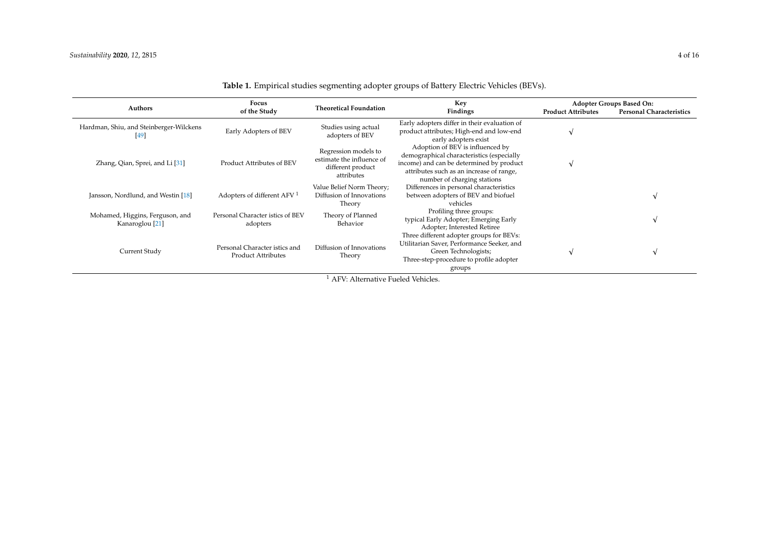<span id="page-3-0"></span>

| Authors                                                       | Focus                                                                 | <b>Theoretical Foundation</b>                                                        | Key                                                                                                                                                                                                  |                           | <b>Adopter Groups Based On:</b> |  |  |
|---------------------------------------------------------------|-----------------------------------------------------------------------|--------------------------------------------------------------------------------------|------------------------------------------------------------------------------------------------------------------------------------------------------------------------------------------------------|---------------------------|---------------------------------|--|--|
|                                                               | of the Study                                                          |                                                                                      | Findings                                                                                                                                                                                             | <b>Product Attributes</b> | <b>Personal Characteristics</b> |  |  |
| Hardman, Shiu, and Steinberger-Wilckens<br>[49]               | Early Adopters of BEV                                                 | Studies using actual<br>adopters of BEV                                              | Early adopters differ in their evaluation of<br>product attributes; High-end and low-end<br>early adopters exist                                                                                     |                           |                                 |  |  |
| Zhang, Qian, Sprei, and Li <sup>[31]</sup>                    | Product Attributes of BEV                                             | Regression models to<br>estimate the influence of<br>different product<br>attributes | Adoption of BEV is influenced by<br>demographical characteristics (especially<br>income) and can be determined by product<br>attributes such as an increase of range,<br>number of charging stations |                           |                                 |  |  |
| Jansson, Nordlund, and Westin [18]                            | Adopters of different AFV <sup>1</sup>                                | Value Belief Norm Theory;<br>Diffusion of Innovations<br>Theory                      | Differences in personal characteristics<br>between adopters of BEV and biofuel<br>vehicles                                                                                                           |                           |                                 |  |  |
| Mohamed, Higgins, Ferguson, and<br>Kanaroglou <sup>[21]</sup> | Personal Character istics of BEV<br>adopters                          | Theory of Planned<br>Behavior                                                        | Profiling three groups:<br>typical Early Adopter; Emerging Early<br>Adopter; Interested Retiree                                                                                                      |                           |                                 |  |  |
| Current Study                                                 | Personal Character istics and<br><b>Product Attributes</b>            | Diffusion of Innovations<br>Theory                                                   | Three different adopter groups for BEVs:<br>Utilitarian Saver, Performance Seeker, and<br>Green Technologists;<br>Three-step-procedure to profile adopter<br>groups                                  |                           |                                 |  |  |
|                                                               | A EV. A $1_{\text{Ferm}}$ , $1_{\text{Ferm}}$ Fig. 1 , 1 VI-1 : 1 , 1 |                                                                                      |                                                                                                                                                                                                      |                           |                                 |  |  |

## **Table 1.** Empirical studies segmenting adopter groups of Battery Electric Vehicles (BEVs).

AFV: Alternative Fueled Vehicles.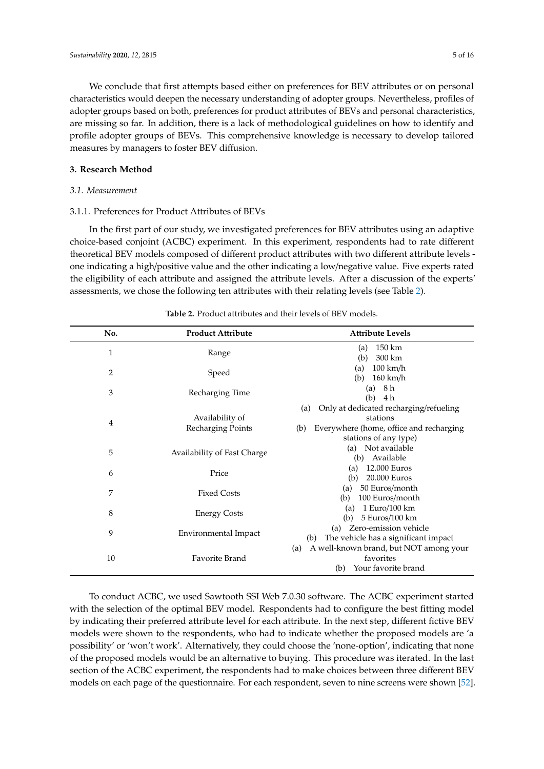We conclude that first attempts based either on preferences for BEV attributes or on personal characteristics would deepen the necessary understanding of adopter groups. Nevertheless, profiles of adopter groups based on both, preferences for product attributes of BEVs and personal characteristics, are missing so far. In addition, there is a lack of methodological guidelines on how to identify and profile adopter groups of BEVs. This comprehensive knowledge is necessary to develop tailored

## <span id="page-4-0"></span>**3. Research Method**

## *3.1. Measurement*

## 3.1.1. Preferences for Product Attributes of BEVs

measures by managers to foster BEV diffusion.

In the first part of our study, we investigated preferences for BEV attributes using an adaptive choice-based conjoint (ACBC) experiment. In this experiment, respondents had to rate different theoretical BEV models composed of different product attributes with two different attribute levels one indicating a high/positive value and the other indicating a low/negative value. Five experts rated the eligibility of each attribute and assigned the attribute levels. After a discussion of the experts' assessments, we chose the following ten attributes with their relating levels (see Table [2\)](#page-4-1).

<span id="page-4-1"></span>

| No.            | <b>Product Attribute</b>    | <b>Attribute Levels</b>                        |
|----------------|-----------------------------|------------------------------------------------|
| 1              | Range                       | 150 km<br>(a)                                  |
|                |                             | 300 km<br>(b)                                  |
| $\overline{2}$ | Speed                       | $100 \text{ km/h}$<br>(a)                      |
|                |                             | $160 \text{ km/h}$<br>(b)<br>8 h<br>(a)        |
| 3              | Recharging Time             | (b)<br>4 h                                     |
|                |                             | Only at dedicated recharging/refueling<br>(a)  |
|                | Availability of             | stations                                       |
| $\overline{4}$ | Recharging Points           | Everywhere (home, office and recharging<br>(b) |
|                |                             | stations of any type)                          |
| 5              | Availability of Fast Charge | Not available<br>(a)                           |
|                |                             | Available<br>(b)                               |
| 6              | Price                       | 12.000 Euros<br>(a)                            |
|                |                             | 20.000 Euros<br>(b)                            |
| 7              | <b>Fixed Costs</b>          | 50 Euros/month<br>(a)                          |
|                |                             | 100 Euros/month<br>(b)<br>1 Euro/100 km<br>(a) |
| 8              | <b>Energy Costs</b>         | 5 Euros/100 km<br>(b)                          |
|                |                             | Zero-emission vehicle<br>(a)                   |
| 9              | Environmental Impact        | The vehicle has a significant impact<br>(b)    |
|                |                             | A well-known brand, but NOT among your<br>(a)  |
| 10             | Favorite Brand              | favorites                                      |
|                |                             | Your favorite brand<br>(b)                     |

**Table 2.** Product attributes and their levels of BEV models.

To conduct ACBC, we used Sawtooth SSI Web 7.0.30 software. The ACBC experiment started with the selection of the optimal BEV model. Respondents had to configure the best fitting model by indicating their preferred attribute level for each attribute. In the next step, different fictive BEV models were shown to the respondents, who had to indicate whether the proposed models are 'a possibility' or 'won't work'. Alternatively, they could choose the 'none-option', indicating that none of the proposed models would be an alternative to buying. This procedure was iterated. In the last section of the ACBC experiment, the respondents had to make choices between three different BEV models on each page of the questionnaire. For each respondent, seven to nine screens were shown [\[52\]](#page-14-16).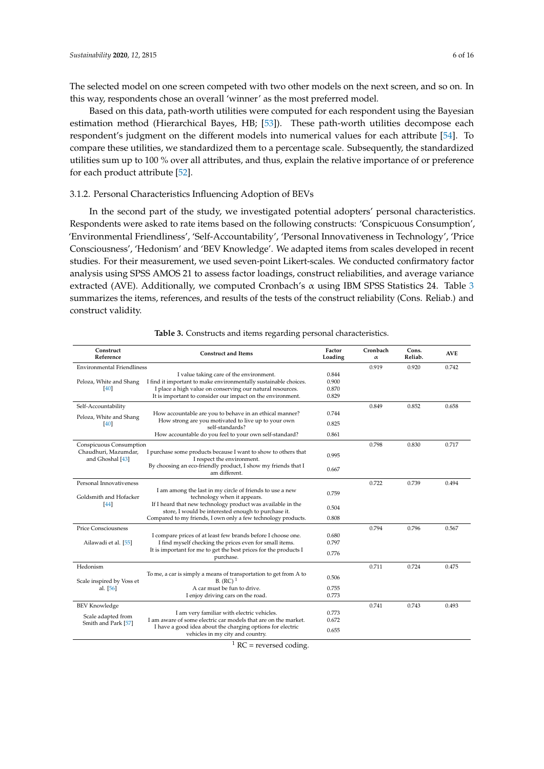The selected model on one screen competed with two other models on the next screen, and so on. In this way, respondents chose an overall 'winner' as the most preferred model.

Based on this data, path-worth utilities were computed for each respondent using the Bayesian estimation method (Hierarchical Bayes, HB; [\[53\]](#page-14-17)). These path-worth utilities decompose each respondent's judgment on the different models into numerical values for each attribute [\[54\]](#page-14-18). To compare these utilities, we standardized them to a percentage scale. Subsequently, the standardized utilities sum up to 100 % over all attributes, and thus, explain the relative importance of or preference for each product attribute [\[52\]](#page-14-16).

## 3.1.2. Personal Characteristics Influencing Adoption of BEVs

In the second part of the study, we investigated potential adopters' personal characteristics. Respondents were asked to rate items based on the following constructs: 'Conspicuous Consumption', 'Environmental Friendliness', 'Self-Accountability', 'Personal Innovativeness in Technology', 'Price Consciousness', 'Hedonism' and 'BEV Knowledge'. We adapted items from scales developed in recent studies. For their measurement, we used seven-point Likert-scales. We conducted confirmatory factor analysis using SPSS AMOS 21 to assess factor loadings, construct reliabilities, and average variance extracted (AVE). Additionally, we computed Cronbach's  $\alpha$  using IBM SPSS Statistics 24. Table [3](#page-5-0) summarizes the items, references, and results of the tests of the construct reliability (Cons. Reliab.) and construct validity.

<span id="page-5-0"></span>

| Construct<br>Reference                                              | <b>Construct and Items</b>                                                                                                                                                                                                                                                                                                                                                                                                                                                             | Factor<br>Loading                | Cronbach<br>$\alpha$ | Cons.<br>Reliab. | <b>AVE</b> |
|---------------------------------------------------------------------|----------------------------------------------------------------------------------------------------------------------------------------------------------------------------------------------------------------------------------------------------------------------------------------------------------------------------------------------------------------------------------------------------------------------------------------------------------------------------------------|----------------------------------|----------------------|------------------|------------|
| <b>Environmental Friendliness</b>                                   |                                                                                                                                                                                                                                                                                                                                                                                                                                                                                        |                                  | 0.919                | 0.920            | 0.742      |
| Peloza, White and Shang<br>[40]                                     | I value taking care of the environment.<br>I find it important to make environmentally sustainable choices.<br>I place a high value on conserving our natural resources.<br>It is important to consider our impact on the environment.                                                                                                                                                                                                                                                 | 0.844<br>0.900<br>0.870<br>0.829 |                      |                  |            |
| Self-Accountability                                                 |                                                                                                                                                                                                                                                                                                                                                                                                                                                                                        |                                  | 0.849                | 0.852            | 0.658      |
| Peloza, White and Shang                                             | How accountable are you to behave in an ethical manner?                                                                                                                                                                                                                                                                                                                                                                                                                                | 0.744                            |                      |                  |            |
| [40]                                                                | self-standards?                                                                                                                                                                                                                                                                                                                                                                                                                                                                        | 0.825                            |                      |                  |            |
|                                                                     | How accountable do you feel to your own self-standard?                                                                                                                                                                                                                                                                                                                                                                                                                                 | 0.861                            |                      |                  |            |
| Conspicuous Consumption<br>Chaudhuri, Mazumdar,<br>and Ghoshal [43] | I purchase some products because I want to show to others that                                                                                                                                                                                                                                                                                                                                                                                                                         | 0.995                            | 0.798                | 0.830            | 0.717      |
|                                                                     | By choosing an eco-friendly product, I show my friends that I<br>am different.                                                                                                                                                                                                                                                                                                                                                                                                         | 0.667                            |                      |                  |            |
| Personal Innovativeness                                             |                                                                                                                                                                                                                                                                                                                                                                                                                                                                                        |                                  | 0.722                | 0.739            | 0.494      |
| Goldsmith and Hofacker                                              | I am among the last in my circle of friends to use a new<br>technology when it appears.                                                                                                                                                                                                                                                                                                                                                                                                | 0.759                            |                      |                  |            |
| [44]                                                                | store, I would be interested enough to purchase it.                                                                                                                                                                                                                                                                                                                                                                                                                                    | 0.504                            |                      |                  |            |
|                                                                     |                                                                                                                                                                                                                                                                                                                                                                                                                                                                                        |                                  |                      |                  |            |
| <b>Price Consciousness</b><br>Ailawadi et al. [55]                  | I compare prices of at least few brands before I choose one.<br>I find myself checking the prices even for small items.<br>It is important for me to get the best prices for the products I<br>purchase.                                                                                                                                                                                                                                                                               | 0.680<br>0.797<br>0.776          | 0.794                | 0.796            | 0.567      |
| Hedonism                                                            |                                                                                                                                                                                                                                                                                                                                                                                                                                                                                        |                                  | 0.711                | 0.724            | 0.475      |
| Scale inspired by Voss et                                           | How strong are you motivated to live up to your own<br>I respect the environment.<br>If I heard that new technology product was available in the<br>0.808<br>Compared to my friends, I own only a few technology products.<br>To me, a car is simply a means of transportation to get from A to<br>0.506<br>$B. (RC)^1$<br>A car must be fun to drive.<br>0.755<br>0.773<br>I enjoy driving cars on the road.<br>0.741<br>I am very familiar with electric vehicles.<br>0.773<br>0.672 |                                  |                      |                  |            |
| al. [56]                                                            |                                                                                                                                                                                                                                                                                                                                                                                                                                                                                        |                                  |                      |                  |            |
| <b>BEV Knowledge</b>                                                |                                                                                                                                                                                                                                                                                                                                                                                                                                                                                        |                                  |                      | 0.743            | 0.493      |
| Scale adapted from<br>Smith and Park [57]                           | I am aware of some electric car models that are on the market.                                                                                                                                                                                                                                                                                                                                                                                                                         |                                  |                      |                  |            |
|                                                                     | I have a good idea about the charging options for electric<br>vehicles in my city and country.                                                                                                                                                                                                                                                                                                                                                                                         | 0.655                            |                      |                  |            |

|  |  | Table 3. Constructs and items regarding personal characteristics. |
|--|--|-------------------------------------------------------------------|
|  |  |                                                                   |

 $1 RC$  = reversed coding.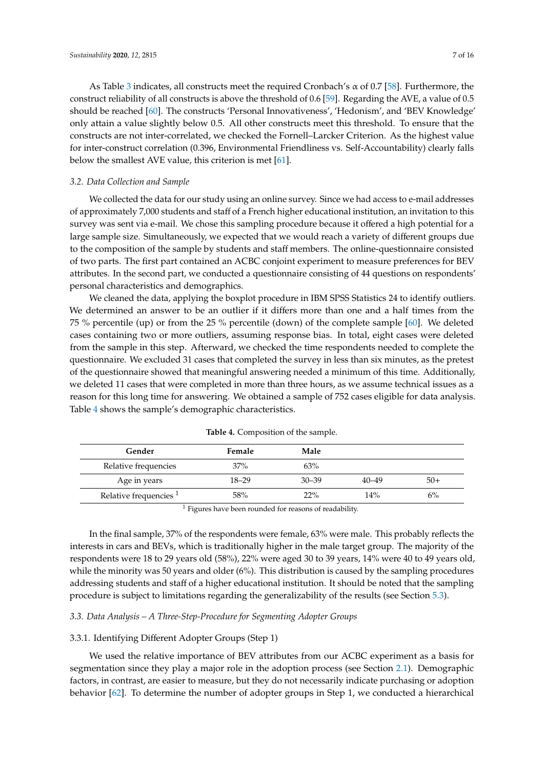As Table [3](#page-5-0) indicates, all constructs meet the required Cronbach's  $\alpha$  of 0.7 [\[58\]](#page-14-22). Furthermore, the construct reliability of all constructs is above the threshold of 0.6 [\[59\]](#page-14-23). Regarding the AVE, a value of 0.5 should be reached [\[60\]](#page-14-24). The constructs 'Personal Innovativeness', 'Hedonism', and 'BEV Knowledge' only attain a value slightly below 0.5. All other constructs meet this threshold. To ensure that the constructs are not inter-correlated, we checked the Fornell–Larcker Criterion. As the highest value for inter-construct correlation (0.396, Environmental Friendliness vs. Self-Accountability) clearly falls below the smallest AVE value, this criterion is met [\[61\]](#page-14-25).

### *3.2. Data Collection and Sample*

We collected the data for our study using an online survey. Since we had access to e-mail addresses of approximately 7,000 students and staff of a French higher educational institution, an invitation to this survey was sent via e-mail. We chose this sampling procedure because it offered a high potential for a large sample size. Simultaneously, we expected that we would reach a variety of different groups due to the composition of the sample by students and staff members. The online-questionnaire consisted of two parts. The first part contained an ACBC conjoint experiment to measure preferences for BEV attributes. In the second part, we conducted a questionnaire consisting of 44 questions on respondents' personal characteristics and demographics.

We cleaned the data, applying the boxplot procedure in IBM SPSS Statistics 24 to identify outliers. We determined an answer to be an outlier if it differs more than one and a half times from the 75 % percentile (up) or from the 25 % percentile (down) of the complete sample [\[60\]](#page-14-24). We deleted cases containing two or more outliers, assuming response bias. In total, eight cases were deleted from the sample in this step. Afterward, we checked the time respondents needed to complete the questionnaire. We excluded 31 cases that completed the survey in less than six minutes, as the pretest of the questionnaire showed that meaningful answering needed a minimum of this time. Additionally, we deleted 11 cases that were completed in more than three hours, as we assume technical issues as a reason for this long time for answering. We obtained a sample of 752 cases eligible for data analysis. Table [4](#page-6-0) shows the sample's demographic characteristics.

<span id="page-6-0"></span>

| Gender                            | <b>Female</b> | Male      |           |       |
|-----------------------------------|---------------|-----------|-----------|-------|
| Relative frequencies              | 37%           | 63%       |           |       |
| Age in years                      | $18 - 29$     | $30 - 39$ | $40 - 49$ | $50+$ |
| Relative frequencies <sup>1</sup> | 58%           | 22%       | 14%       | $6\%$ |
|                                   |               |           |           |       |

|  | Table 4. Composition of the sample. |  |
|--|-------------------------------------|--|
|--|-------------------------------------|--|

 $1$  Figures have been rounded for reasons of readability.

In the final sample, 37% of the respondents were female, 63% were male. This probably reflects the interests in cars and BEVs, which is traditionally higher in the male target group. The majority of the respondents were 18 to 29 years old (58%), 22% were aged 30 to 39 years, 14% were 40 to 49 years old, while the minority was 50 years and older (6%). This distribution is caused by the sampling procedures addressing students and staff of a higher educational institution. It should be noted that the sampling procedure is subject to limitations regarding the generalizability of the results (see Section [5.3\)](#page-11-0).

## *3.3. Data Analysis – A Three-Step-Procedure for Segmenting Adopter Groups*

### 3.3.1. Identifying Different Adopter Groups (Step 1)

We used the relative importance of BEV attributes from our ACBC experiment as a basis for segmentation since they play a major role in the adoption process (see Section [2.1\)](#page-1-1). Demographic factors, in contrast, are easier to measure, but they do not necessarily indicate purchasing or adoption behavior [\[62\]](#page-15-0). To determine the number of adopter groups in Step 1, we conducted a hierarchical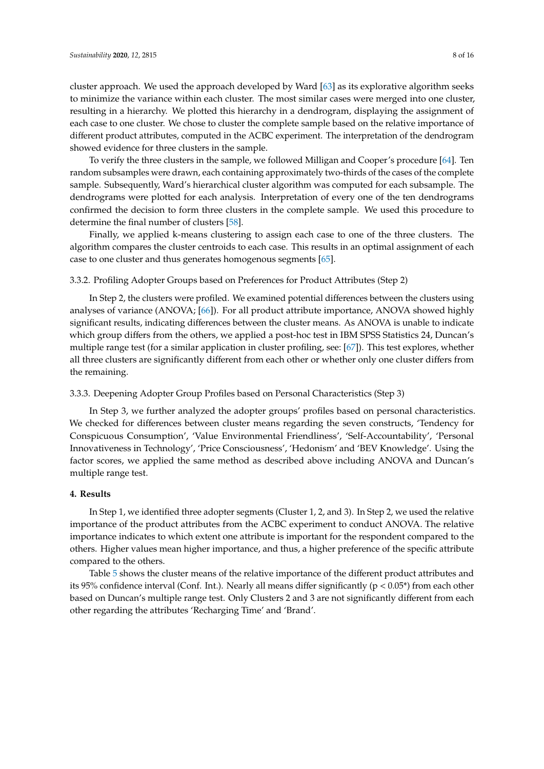cluster approach. We used the approach developed by Ward [\[63\]](#page-15-1) as its explorative algorithm seeks to minimize the variance within each cluster. The most similar cases were merged into one cluster, resulting in a hierarchy. We plotted this hierarchy in a dendrogram, displaying the assignment of each case to one cluster. We chose to cluster the complete sample based on the relative importance of different product attributes, computed in the ACBC experiment. The interpretation of the dendrogram showed evidence for three clusters in the sample.

To verify the three clusters in the sample, we followed Milligan and Cooper's procedure [\[64\]](#page-15-2). Ten random subsamples were drawn, each containing approximately two-thirds of the cases of the complete sample. Subsequently, Ward's hierarchical cluster algorithm was computed for each subsample. The dendrograms were plotted for each analysis. Interpretation of every one of the ten dendrograms confirmed the decision to form three clusters in the complete sample. We used this procedure to determine the final number of clusters [\[58\]](#page-14-22).

Finally, we applied k-means clustering to assign each case to one of the three clusters. The algorithm compares the cluster centroids to each case. This results in an optimal assignment of each case to one cluster and thus generates homogenous segments [\[65\]](#page-15-3).

#### 3.3.2. Profiling Adopter Groups based on Preferences for Product Attributes (Step 2)

In Step 2, the clusters were profiled. We examined potential differences between the clusters using analyses of variance (ANOVA; [\[66\]](#page-15-4)). For all product attribute importance, ANOVA showed highly significant results, indicating differences between the cluster means. As ANOVA is unable to indicate which group differs from the others, we applied a post-hoc test in IBM SPSS Statistics 24, Duncan's multiple range test (for a similar application in cluster profiling, see: [\[67\]](#page-15-5)). This test explores, whether all three clusters are significantly different from each other or whether only one cluster differs from the remaining.

#### 3.3.3. Deepening Adopter Group Profiles based on Personal Characteristics (Step 3)

In Step 3, we further analyzed the adopter groups' profiles based on personal characteristics. We checked for differences between cluster means regarding the seven constructs, 'Tendency for Conspicuous Consumption', 'Value Environmental Friendliness', 'Self-Accountability', 'Personal Innovativeness in Technology', 'Price Consciousness', 'Hedonism' and 'BEV Knowledge'. Using the factor scores, we applied the same method as described above including ANOVA and Duncan's multiple range test.

### <span id="page-7-0"></span>**4. Results**

In Step 1, we identified three adopter segments (Cluster 1, 2, and 3). In Step 2, we used the relative importance of the product attributes from the ACBC experiment to conduct ANOVA. The relative importance indicates to which extent one attribute is important for the respondent compared to the others. Higher values mean higher importance, and thus, a higher preference of the specific attribute compared to the others.

Table [5](#page-8-0) shows the cluster means of the relative importance of the different product attributes and its 95% confidence interval (Conf. Int.). Nearly all means differ significantly ( $p < 0.05^*$ ) from each other based on Duncan's multiple range test. Only Clusters 2 and 3 are not significantly different from each other regarding the attributes 'Recharging Time' and 'Brand'.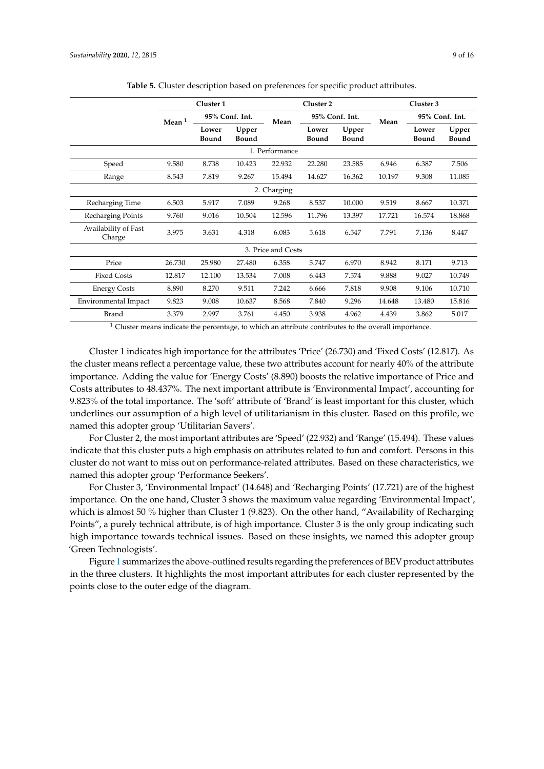<span id="page-8-0"></span>

|                                | Cluster 1 |                |                | Cluster 2          |                |                | Cluster 3 |                |                       |
|--------------------------------|-----------|----------------|----------------|--------------------|----------------|----------------|-----------|----------------|-----------------------|
|                                | Mean $1$  | 95% Conf. Int. |                | Mean               | 95% Conf. Int. |                | Mean      | 95% Conf. Int. |                       |
|                                |           | Lower<br>Bound | Upper<br>Bound |                    | Lower<br>Bound | Upper<br>Bound |           | Lower<br>Bound | Upper<br><b>Bound</b> |
|                                |           |                |                | 1. Performance     |                |                |           |                |                       |
| Speed                          | 9.580     | 8.738          | 10.423         | 22.932             | 22.280         | 23.585         | 6.946     | 6.387          | 7.506                 |
| Range                          | 8.543     | 7.819          | 9.267          | 15.494             | 14.627         | 16.362         | 10.197    | 9.308          | 11.085                |
|                                |           |                |                | 2. Charging        |                |                |           |                |                       |
| Recharging Time                | 6.503     | 5.917          | 7.089          | 9.268              | 8.537          | 10.000         | 9.519     | 8.667          | 10.371                |
| Recharging Points              | 9.760     | 9.016          | 10.504         | 12.596             | 11.796         | 13.397         | 17.721    | 16.574         | 18.868                |
| Availability of Fast<br>Charge | 3.975     | 3.631          | 4.318          | 6.083              | 5.618          | 6.547          | 7.791     | 7.136          | 8.447                 |
|                                |           |                |                | 3. Price and Costs |                |                |           |                |                       |
| Price                          | 26.730    | 25.980         | 27.480         | 6.358              | 5.747          | 6.970          | 8.942     | 8.171          | 9.713                 |
| <b>Fixed Costs</b>             | 12.817    | 12.100         | 13.534         | 7.008              | 6.443          | 7.574          | 9.888     | 9.027          | 10.749                |
| <b>Energy Costs</b>            | 8.890     | 8.270          | 9.511          | 7.242              | 6.666          | 7.818          | 9.908     | 9.106          | 10.710                |
| Environmental Impact           | 9.823     | 9.008          | 10.637         | 8.568              | 7.840          | 9.296          | 14.648    | 13.480         | 15.816                |
| <b>Brand</b>                   | 3.379     | 2.997          | 3.761          | 4.450              | 3.938          | 4.962          | 4.439     | 3.862          | 5.017                 |

**Table 5.** Cluster description based on preferences for specific product attributes.

 $1$  Cluster means indicate the percentage, to which an attribute contributes to the overall importance.

Cluster 1 indicates high importance for the attributes 'Price' (26.730) and 'Fixed Costs' (12.817). As the cluster means reflect a percentage value, these two attributes account for nearly 40% of the attribute importance. Adding the value for 'Energy Costs' (8.890) boosts the relative importance of Price and Costs attributes to 48.437%. The next important attribute is 'Environmental Impact', accounting for 9.823% of the total importance. The 'soft' attribute of 'Brand' is least important for this cluster, which underlines our assumption of a high level of utilitarianism in this cluster. Based on this profile, we named this adopter group 'Utilitarian Savers'.

For Cluster 2, the most important attributes are 'Speed' (22.932) and 'Range' (15.494). These values indicate that this cluster puts a high emphasis on attributes related to fun and comfort. Persons in this cluster do not want to miss out on performance-related attributes. Based on these characteristics, we named this adopter group 'Performance Seekers'.

For Cluster 3, 'Environmental Impact' (14.648) and 'Recharging Points' (17.721) are of the highest importance. On the one hand, Cluster 3 shows the maximum value regarding 'Environmental Impact', which is almost 50 % higher than Cluster 1 (9.823). On the other hand, "Availability of Recharging Points", a purely technical attribute, is of high importance. Cluster 3 is the only group indicating such high importance towards technical issues. Based on these insights, we named this adopter group 'Green Technologists'.

Figure [1](#page-9-0) summarizes the above-outlined results regarding the preferences of BEV product attributes in the three clusters. It highlights the most important attributes for each cluster represented by the points close to the outer edge of the diagram.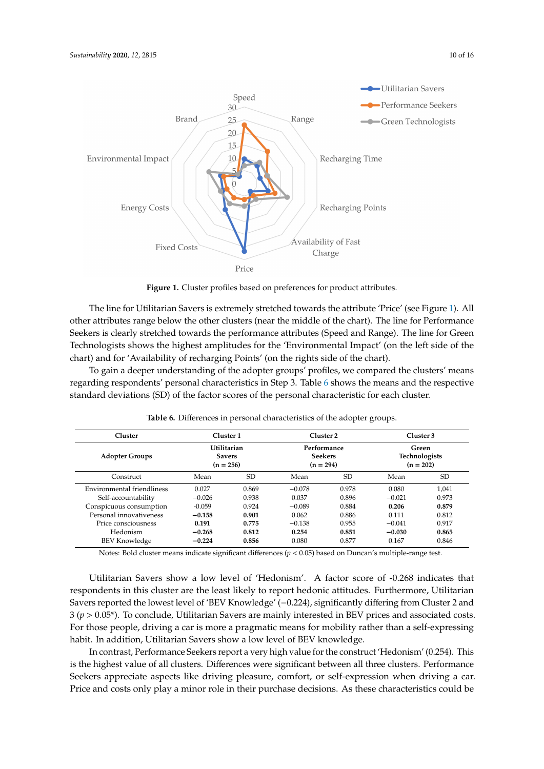<span id="page-9-0"></span>

**Figure 1.** Cluster profiles based on preferences for product attributes.

The line for Utilitarian Savers is extremely stretched towards the attribute 'Price' (see Figure [1\)](#page-9-0). All other attributes range below the other clusters (near the middle of the chart). The line for Performance Seekers is clearly stretched towards the performance attributes (Speed and Range). The line for Green Technologists shows the highest amplitudes for the 'Environmental Impact' (on the left side of the chart) and for 'Availability of recharging Points' (on the rights side of the chart).

To gain a deeper understanding of the adopter groups' profiles, we compared the clusters' means regarding respondents' personal characteristics in Step 3. Table [6](#page-9-1) shows the means and the respective standard deviations (SD) of the factor scores of the personal characteristic for each cluster.

<span id="page-9-1"></span>

| Cluster                    | Cluster 1 |                                                    | Cluster 2 |                                              | Cluster 3 |                                              |
|----------------------------|-----------|----------------------------------------------------|-----------|----------------------------------------------|-----------|----------------------------------------------|
| <b>Adopter Groups</b>      |           | <b>Utilitarian</b><br><b>Savers</b><br>$(n = 256)$ |           | Performance<br><b>Seekers</b><br>$(n = 294)$ |           | Green<br><b>Technologists</b><br>$(n = 202)$ |
| Construct                  | Mean      | <b>SD</b>                                          | Mean      | SD                                           | Mean      | SD                                           |
| Environmental friendliness | 0.027     | 0.869                                              | $-0.078$  | 0.978                                        | 0.080     | 1.041                                        |
| Self-accountability        | $-0.026$  | 0.938                                              | 0.037     | 0.896                                        | $-0.021$  | 0.973                                        |
| Conspicuous consumption    | $-0.059$  | 0.924                                              | $-0.089$  | 0.884                                        | 0.206     | 0.879                                        |
| Personal innovativeness    | $-0.158$  | 0.901                                              | 0.062     | 0.886                                        | 0.111     | 0.812                                        |
| Price consciousness        | 0.191     | 0.775                                              | $-0.138$  | 0.955                                        | $-0.041$  | 0.917                                        |
| Hedonism                   | $-0.268$  | 0.812                                              | 0.254     | 0.851                                        | $-0.030$  | 0.865                                        |
| <b>BEV Knowledge</b>       | $-0.224$  | 0.856                                              | 0.080     | 0.877                                        | 0.167     | 0.846                                        |

**Table 6.** Differences in personal characteristics of the adopter groups.

Notes: Bold cluster means indicate significant differences (*p* < 0.05) based on Duncan's multiple-range test.

Utilitarian Savers show a low level of 'Hedonism'. A factor score of -0.268 indicates that respondents in this cluster are the least likely to report hedonic attitudes. Furthermore, Utilitarian Savers reported the lowest level of 'BEV Knowledge' (−0.224), significantly differing from Cluster 2 and 3 (*p* > 0.05\*). To conclude, Utilitarian Savers are mainly interested in BEV prices and associated costs. For those people, driving a car is more a pragmatic means for mobility rather than a self-expressing habit. In addition, Utilitarian Savers show a low level of BEV knowledge.

In contrast, Performance Seekers report a very high value for the construct 'Hedonism' (0.254). This is the highest value of all clusters. Differences were significant between all three clusters. Performance Seekers appreciate aspects like driving pleasure, comfort, or self-expression when driving a car. Price and costs only play a minor role in their purchase decisions. As these characteristics could be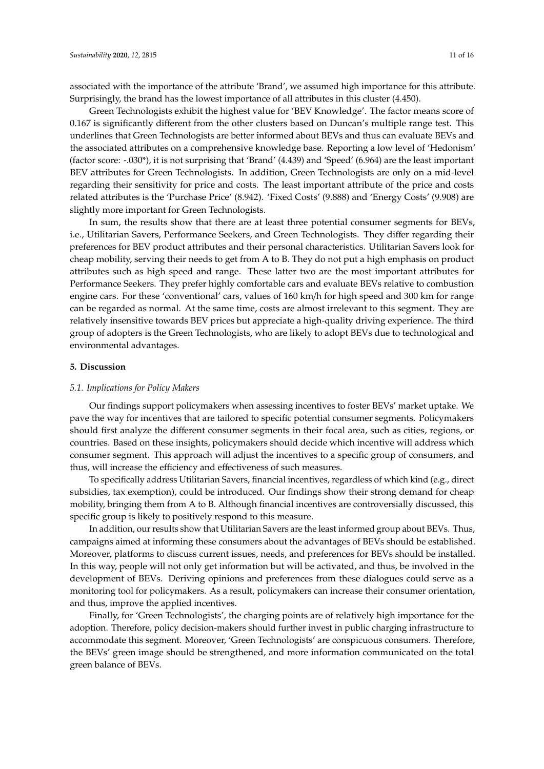associated with the importance of the attribute 'Brand', we assumed high importance for this attribute. Surprisingly, the brand has the lowest importance of all attributes in this cluster (4.450).

Green Technologists exhibit the highest value for 'BEV Knowledge'. The factor means score of 0.167 is significantly different from the other clusters based on Duncan's multiple range test. This underlines that Green Technologists are better informed about BEVs and thus can evaluate BEVs and the associated attributes on a comprehensive knowledge base. Reporting a low level of 'Hedonism' (factor score: -.030\*), it is not surprising that 'Brand' (4.439) and 'Speed' (6.964) are the least important BEV attributes for Green Technologists. In addition, Green Technologists are only on a mid-level regarding their sensitivity for price and costs. The least important attribute of the price and costs related attributes is the 'Purchase Price' (8.942). 'Fixed Costs' (9.888) and 'Energy Costs' (9.908) are slightly more important for Green Technologists.

In sum, the results show that there are at least three potential consumer segments for BEVs, i.e., Utilitarian Savers, Performance Seekers, and Green Technologists. They differ regarding their preferences for BEV product attributes and their personal characteristics. Utilitarian Savers look for cheap mobility, serving their needs to get from A to B. They do not put a high emphasis on product attributes such as high speed and range. These latter two are the most important attributes for Performance Seekers. They prefer highly comfortable cars and evaluate BEVs relative to combustion engine cars. For these 'conventional' cars, values of 160 km/h for high speed and 300 km for range can be regarded as normal. At the same time, costs are almost irrelevant to this segment. They are relatively insensitive towards BEV prices but appreciate a high-quality driving experience. The third group of adopters is the Green Technologists, who are likely to adopt BEVs due to technological and environmental advantages.

#### <span id="page-10-0"></span>**5. Discussion**

#### *5.1. Implications for Policy Makers*

Our findings support policymakers when assessing incentives to foster BEVs' market uptake. We pave the way for incentives that are tailored to specific potential consumer segments. Policymakers should first analyze the different consumer segments in their focal area, such as cities, regions, or countries. Based on these insights, policymakers should decide which incentive will address which consumer segment. This approach will adjust the incentives to a specific group of consumers, and thus, will increase the efficiency and effectiveness of such measures.

To specifically address Utilitarian Savers, financial incentives, regardless of which kind (e.g., direct subsidies, tax exemption), could be introduced. Our findings show their strong demand for cheap mobility, bringing them from A to B. Although financial incentives are controversially discussed, this specific group is likely to positively respond to this measure.

In addition, our results show that Utilitarian Savers are the least informed group about BEVs. Thus, campaigns aimed at informing these consumers about the advantages of BEVs should be established. Moreover, platforms to discuss current issues, needs, and preferences for BEVs should be installed. In this way, people will not only get information but will be activated, and thus, be involved in the development of BEVs. Deriving opinions and preferences from these dialogues could serve as a monitoring tool for policymakers. As a result, policymakers can increase their consumer orientation, and thus, improve the applied incentives.

Finally, for 'Green Technologists', the charging points are of relatively high importance for the adoption. Therefore, policy decision-makers should further invest in public charging infrastructure to accommodate this segment. Moreover, 'Green Technologists' are conspicuous consumers. Therefore, the BEVs' green image should be strengthened, and more information communicated on the total green balance of BEVs.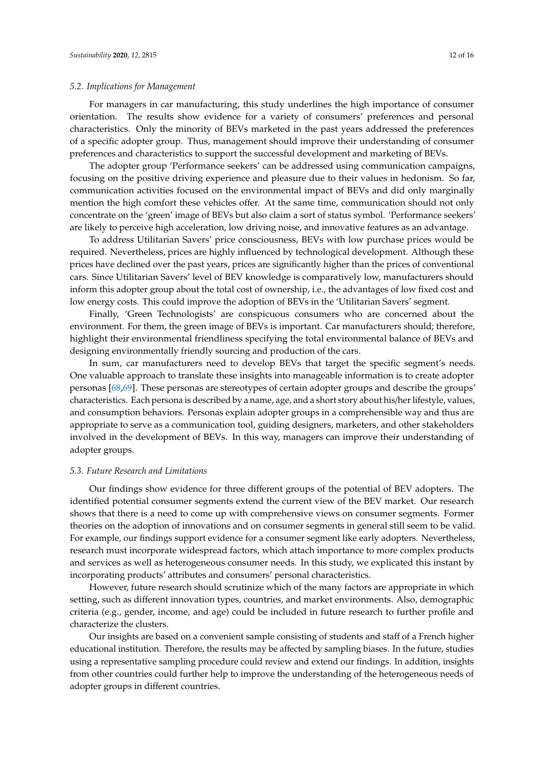#### *5.2. Implications for Management*

For managers in car manufacturing, this study underlines the high importance of consumer orientation. The results show evidence for a variety of consumers' preferences and personal characteristics. Only the minority of BEVs marketed in the past years addressed the preferences of a specific adopter group. Thus, management should improve their understanding of consumer preferences and characteristics to support the successful development and marketing of BEVs.

The adopter group 'Performance seekers' can be addressed using communication campaigns, focusing on the positive driving experience and pleasure due to their values in hedonism. So far, communication activities focused on the environmental impact of BEVs and did only marginally mention the high comfort these vehicles offer. At the same time, communication should not only concentrate on the 'green' image of BEVs but also claim a sort of status symbol. 'Performance seekers' are likely to perceive high acceleration, low driving noise, and innovative features as an advantage.

To address Utilitarian Savers' price consciousness, BEVs with low purchase prices would be required. Nevertheless, prices are highly influenced by technological development. Although these prices have declined over the past years, prices are significantly higher than the prices of conventional cars. Since Utilitarian Savers' level of BEV knowledge is comparatively low, manufacturers should inform this adopter group about the total cost of ownership, i.e., the advantages of low fixed cost and low energy costs. This could improve the adoption of BEVs in the 'Utilitarian Savers' segment.

Finally, 'Green Technologists' are conspicuous consumers who are concerned about the environment. For them, the green image of BEVs is important. Car manufacturers should; therefore, highlight their environmental friendliness specifying the total environmental balance of BEVs and designing environmentally friendly sourcing and production of the cars.

In sum, car manufacturers need to develop BEVs that target the specific segment's needs. One valuable approach to translate these insights into manageable information is to create adopter personas [\[68,](#page-15-6)[69\]](#page-15-7). These personas are stereotypes of certain adopter groups and describe the groups' characteristics. Each persona is described by a name, age, and a short story about his/her lifestyle, values, and consumption behaviors. Personas explain adopter groups in a comprehensible way and thus are appropriate to serve as a communication tool, guiding designers, marketers, and other stakeholders involved in the development of BEVs. In this way, managers can improve their understanding of adopter groups.

#### <span id="page-11-0"></span>*5.3. Future Research and Limitations*

Our findings show evidence for three different groups of the potential of BEV adopters. The identified potential consumer segments extend the current view of the BEV market. Our research shows that there is a need to come up with comprehensive views on consumer segments. Former theories on the adoption of innovations and on consumer segments in general still seem to be valid. For example, our findings support evidence for a consumer segment like early adopters. Nevertheless, research must incorporate widespread factors, which attach importance to more complex products and services as well as heterogeneous consumer needs. In this study, we explicated this instant by incorporating products' attributes and consumers' personal characteristics.

However, future research should scrutinize which of the many factors are appropriate in which setting, such as different innovation types, countries, and market environments. Also, demographic criteria (e.g., gender, income, and age) could be included in future research to further profile and characterize the clusters.

Our insights are based on a convenient sample consisting of students and staff of a French higher educational institution. Therefore, the results may be affected by sampling biases. In the future, studies using a representative sampling procedure could review and extend our findings. In addition, insights from other countries could further help to improve the understanding of the heterogeneous needs of adopter groups in different countries.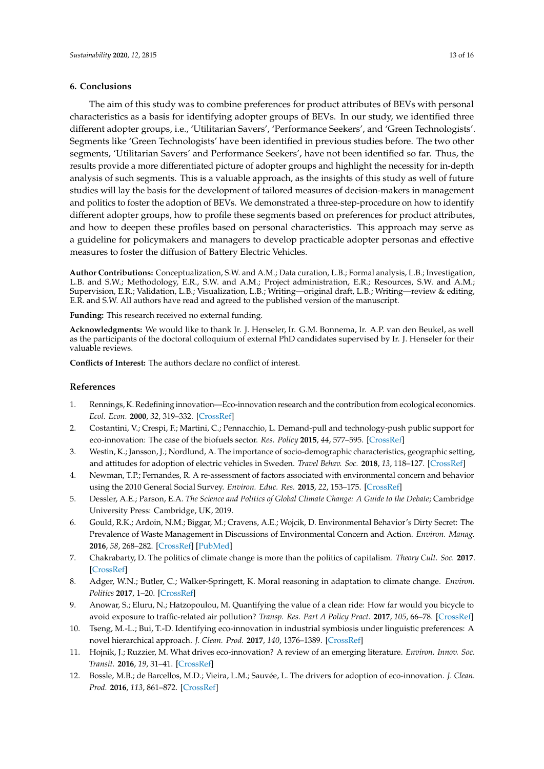## <span id="page-12-7"></span>**6. Conclusions**

The aim of this study was to combine preferences for product attributes of BEVs with personal characteristics as a basis for identifying adopter groups of BEVs. In our study, we identified three different adopter groups, i.e., 'Utilitarian Savers', 'Performance Seekers', and 'Green Technologists'. Segments like 'Green Technologists' have been identified in previous studies before. The two other segments, 'Utilitarian Savers' and Performance Seekers', have not been identified so far. Thus, the results provide a more differentiated picture of adopter groups and highlight the necessity for in-depth analysis of such segments. This is a valuable approach, as the insights of this study as well of future studies will lay the basis for the development of tailored measures of decision-makers in management and politics to foster the adoption of BEVs. We demonstrated a three-step-procedure on how to identify different adopter groups, how to profile these segments based on preferences for product attributes, and how to deepen these profiles based on personal characteristics. This approach may serve as a guideline for policymakers and managers to develop practicable adopter personas and effective measures to foster the diffusion of Battery Electric Vehicles.

**Author Contributions:** Conceptualization, S.W. and A.M.; Data curation, L.B.; Formal analysis, L.B.; Investigation, L.B. and S.W.; Methodology, E.R., S.W. and A.M.; Project administration, E.R.; Resources, S.W. and A.M.; Supervision, E.R.; Validation, L.B.; Visualization, L.B.; Writing—original draft, L.B.; Writing—review & editing, E.R. and S.W. All authors have read and agreed to the published version of the manuscript.

**Funding:** This research received no external funding.

**Acknowledgments:** We would like to thank Ir. J. Henseler, Ir. G.M. Bonnema, Ir. A.P. van den Beukel, as well as the participants of the doctoral colloquium of external PhD candidates supervised by Ir. J. Henseler for their valuable reviews.

**Conflicts of Interest:** The authors declare no conflict of interest.

## **References**

- <span id="page-12-0"></span>1. Rennings, K. Redefining innovation—Eco-innovation research and the contribution from ecological economics. *Ecol. Econ.* **2000**, *32*, 319–332. [\[CrossRef\]](http://dx.doi.org/10.1016/S0921-8009(99)00112-3)
- 2. Costantini, V.; Crespi, F.; Martini, C.; Pennacchio, L. Demand-pull and technology-push public support for eco-innovation: The case of the biofuels sector. *Res. Policy* **2015**, *44*, 577–595. [\[CrossRef\]](http://dx.doi.org/10.1016/j.respol.2014.12.011)
- <span id="page-12-1"></span>3. Westin, K.; Jansson, J.; Nordlund, A. The importance of socio-demographic characteristics, geographic setting, and attitudes for adoption of electric vehicles in Sweden. *Travel Behav. Soc.* **2018**, *13*, 118–127. [\[CrossRef\]](http://dx.doi.org/10.1016/j.tbs.2018.07.004)
- <span id="page-12-2"></span>4. Newman, T.P.; Fernandes, R. A re-assessment of factors associated with environmental concern and behavior using the 2010 General Social Survey. *Environ. Educ. Res.* **2015**, *22*, 153–175. [\[CrossRef\]](http://dx.doi.org/10.1080/13504622.2014.999227)
- 5. Dessler, A.E.; Parson, E.A. *The Science and Politics of Global Climate Change: A Guide to the Debate*; Cambridge University Press: Cambridge, UK, 2019.
- 6. Gould, R.K.; Ardoin, N.M.; Biggar, M.; Cravens, A.E.; Wojcik, D. Environmental Behavior's Dirty Secret: The Prevalence of Waste Management in Discussions of Environmental Concern and Action. *Environ. Manag.* **2016**, *58*, 268–282. [\[CrossRef\]](http://dx.doi.org/10.1007/s00267-016-0710-6) [\[PubMed\]](http://www.ncbi.nlm.nih.gov/pubmed/27234803)
- 7. Chakrabarty, D. The politics of climate change is more than the politics of capitalism. *Theory Cult. Soc.* **2017**. [\[CrossRef\]](http://dx.doi.org/10.1177/0263276417690236)
- <span id="page-12-3"></span>8. Adger, W.N.; Butler, C.; Walker-Springett, K. Moral reasoning in adaptation to climate change. *Environ. Politics* **2017**, 1–20. [\[CrossRef\]](http://dx.doi.org/10.1080/09644016.2017.1287624)
- <span id="page-12-4"></span>9. Anowar, S.; Eluru, N.; Hatzopoulou, M. Quantifying the value of a clean ride: How far would you bicycle to avoid exposure to traffic-related air pollution? *Transp. Res. Part A Policy Pract.* **2017**, *105*, 66–78. [\[CrossRef\]](http://dx.doi.org/10.1016/j.tra.2017.08.017)
- <span id="page-12-5"></span>10. Tseng, M.-L.; Bui, T.-D. Identifying eco-innovation in industrial symbiosis under linguistic preferences: A novel hierarchical approach. *J. Clean. Prod.* **2017**, *140*, 1376–1389. [\[CrossRef\]](http://dx.doi.org/10.1016/j.jclepro.2016.10.014)
- 11. Hojnik, J.; Ruzzier, M. What drives eco-innovation? A review of an emerging literature. *Environ. Innov. Soc. Transit.* **2016**, *19*, 31–41. [\[CrossRef\]](http://dx.doi.org/10.1016/j.eist.2015.09.006)
- <span id="page-12-6"></span>12. Bossle, M.B.; de Barcellos, M.D.; Vieira, L.M.; Sauvée, L. The drivers for adoption of eco-innovation. *J. Clean. Prod.* **2016**, *113*, 861–872. [\[CrossRef\]](http://dx.doi.org/10.1016/j.jclepro.2015.11.033)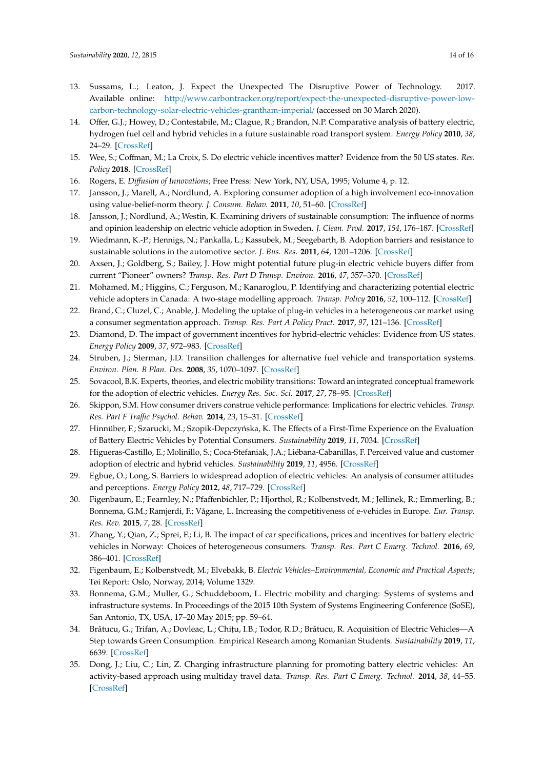- <span id="page-13-23"></span><span id="page-13-22"></span><span id="page-13-0"></span>13. Sussams, L.; Leaton, J. Expect the Unexpected The Disruptive Power of Technology. 2017. Available online: http://www.carbontracker.org/report/[expect-the-unexpected-disruptive-power-low](http://www.carbontracker.org/report/expect-the-unexpected-disruptive-power-low-carbon-technology-solar-electric-vehicles-grantham-imperial/)[carbon-technology-solar-electric-vehicles-grantham-imperial](http://www.carbontracker.org/report/expect-the-unexpected-disruptive-power-low-carbon-technology-solar-electric-vehicles-grantham-imperial/)/ (accessed on 30 March 2020).
- <span id="page-13-1"></span>14. Offer, G.J.; Howey, D.; Contestabile, M.; Clague, R.; Brandon, N.P. Comparative analysis of battery electric, hydrogen fuel cell and hybrid vehicles in a future sustainable road transport system. *Energy Policy* **2010**, *38*, 24–29. [\[CrossRef\]](http://dx.doi.org/10.1016/j.enpol.2009.08.040)
- <span id="page-13-2"></span>15. Wee, S.; Coffman, M.; La Croix, S. Do electric vehicle incentives matter? Evidence from the 50 US states. *Res. Policy* **2018**. [\[CrossRef\]](http://dx.doi.org/10.1016/j.respol.2018.05.003)
- <span id="page-13-3"></span>16. Rogers, E. *Di*ff*usion of Innovations*; Free Press: New York, NY, USA, 1995; Volume 4, p. 12.
- <span id="page-13-4"></span>17. Jansson, J.; Marell, A.; Nordlund, A. Exploring consumer adoption of a high involvement eco-innovation using value-belief-norm theory. *J. Consum. Behav.* **2011**, *10*, 51–60. [\[CrossRef\]](http://dx.doi.org/10.1002/cb.346)
- <span id="page-13-5"></span>18. Jansson, J.; Nordlund, A.; Westin, K. Examining drivers of sustainable consumption: The influence of norms and opinion leadership on electric vehicle adoption in Sweden. *J. Clean. Prod.* **2017**, *154*, 176–187. [\[CrossRef\]](http://dx.doi.org/10.1016/j.jclepro.2017.03.186)
- <span id="page-13-6"></span>19. Wiedmann, K.-P.; Hennigs, N.; Pankalla, L.; Kassubek, M.; Seegebarth, B. Adoption barriers and resistance to sustainable solutions in the automotive sector. *J. Bus. Res.* **2011**, *64*, 1201–1206. [\[CrossRef\]](http://dx.doi.org/10.1016/j.jbusres.2011.06.023)
- <span id="page-13-7"></span>20. Axsen, J.; Goldberg, S.; Bailey, J. How might potential future plug-in electric vehicle buyers differ from current "Pioneer" owners? *Transp. Res. Part D Transp. Environ.* **2016**, *47*, 357–370. [\[CrossRef\]](http://dx.doi.org/10.1016/j.trd.2016.05.015)
- <span id="page-13-8"></span>21. Mohamed, M.; Higgins, C.; Ferguson, M.; Kanaroglou, P. Identifying and characterizing potential electric vehicle adopters in Canada: A two-stage modelling approach. *Transp. Policy* **2016**, *52*, 100–112. [\[CrossRef\]](http://dx.doi.org/10.1016/j.tranpol.2016.07.006)
- <span id="page-13-9"></span>22. Brand, C.; Cluzel, C.; Anable, J. Modeling the uptake of plug-in vehicles in a heterogeneous car market using a consumer segmentation approach. *Transp. Res. Part A Policy Pract.* **2017**, *97*, 121–136. [\[CrossRef\]](http://dx.doi.org/10.1016/j.tra.2017.01.017)
- 23. Diamond, D. The impact of government incentives for hybrid-electric vehicles: Evidence from US states. *Energy Policy* **2009**, *37*, 972–983. [\[CrossRef\]](http://dx.doi.org/10.1016/j.enpol.2008.09.094)
- <span id="page-13-10"></span>24. Struben, J.; Sterman, J.D. Transition challenges for alternative fuel vehicle and transportation systems. *Environ. Plan. B Plan. Des.* **2008**, *35*, 1070–1097. [\[CrossRef\]](http://dx.doi.org/10.1068/b33022t)
- <span id="page-13-11"></span>25. Sovacool, B.K. Experts, theories, and electric mobility transitions: Toward an integrated conceptual framework for the adoption of electric vehicles. *Energy Res. Soc. Sci.* **2017**, *27*, 78–95. [\[CrossRef\]](http://dx.doi.org/10.1016/j.erss.2017.02.014)
- <span id="page-13-12"></span>26. Skippon, S.M. How consumer drivers construe vehicle performance: Implications for electric vehicles. *Transp. Res. Part F Tra*ffi*c Psychol. Behav.* **2014**, *23*, 15–31. [\[CrossRef\]](http://dx.doi.org/10.1016/j.trf.2013.12.008)
- <span id="page-13-14"></span>27. Hinnüber, F.; Szarucki, M.; Szopik-Depczyńska, K. The Effects of a First-Time Experience on the Evaluation of Battery Electric Vehicles by Potential Consumers. *Sustainability* **2019**, *11*, 7034. [\[CrossRef\]](http://dx.doi.org/10.3390/su11247034)
- <span id="page-13-13"></span>28. Higueras-Castillo, E.; Molinillo, S.; Coca-Stefaniak, J.A.; Liébana-Cabanillas, F. Perceived value and customer adoption of electric and hybrid vehicles. *Sustainability* **2019**, *11*, 4956. [\[CrossRef\]](http://dx.doi.org/10.3390/su11184956)
- <span id="page-13-15"></span>29. Egbue, O.; Long, S. Barriers to widespread adoption of electric vehicles: An analysis of consumer attitudes and perceptions. *Energy Policy* **2012**, *48*, 717–729. [\[CrossRef\]](http://dx.doi.org/10.1016/j.enpol.2012.06.009)
- <span id="page-13-16"></span>30. Figenbaum, E.; Fearnley, N.; Pfaffenbichler, P.; Hjorthol, R.; Kolbenstvedt, M.; Jellinek, R.; Emmerling, B.; Bonnema, G.M.; Ramjerdi, F.; Vågane, L. Increasing the competitiveness of e-vehicles in Europe. *Eur. Transp. Res. Rev.* **2015**, *7*, 28. [\[CrossRef\]](http://dx.doi.org/10.1007/s12544-015-0177-1)
- <span id="page-13-17"></span>31. Zhang, Y.; Qian, Z.; Sprei, F.; Li, B. The impact of car specifications, prices and incentives for battery electric vehicles in Norway: Choices of heterogeneous consumers. *Transp. Res. Part C Emerg. Technol.* **2016**, *69*, 386–401. [\[CrossRef\]](http://dx.doi.org/10.1016/j.trc.2016.06.014)
- <span id="page-13-18"></span>32. Figenbaum, E.; Kolbenstvedt, M.; Elvebakk, B. *Electric Vehicles–Environmental, Economic and Practical Aspects*; Tøi Report: Oslo, Norway, 2014; Volume 1329.
- <span id="page-13-19"></span>33. Bonnema, G.M.; Muller, G.; Schuddeboom, L. Electric mobility and charging: Systems of systems and infrastructure systems. In Proceedings of the 2015 10th System of Systems Engineering Conference (SoSE), San Antonio, TX, USA, 17–20 May 2015; pp. 59–64.
- <span id="page-13-20"></span>34. Brătucu, G.; Trifan, A.; Dovleac, L.; Chițu, I.B.; Todor, R.D.; Brătucu, R. Acquisition of Electric Vehicles—A Step towards Green Consumption. Empirical Research among Romanian Students. *Sustainability* **2019**, *11*, 6639. [\[CrossRef\]](http://dx.doi.org/10.3390/su11236639)
- <span id="page-13-21"></span>35. Dong, J.; Liu, C.; Lin, Z. Charging infrastructure planning for promoting battery electric vehicles: An activity-based approach using multiday travel data. *Transp. Res. Part C Emerg. Technol.* **2014**, *38*, 44–55. [\[CrossRef\]](http://dx.doi.org/10.1016/j.trc.2013.11.001)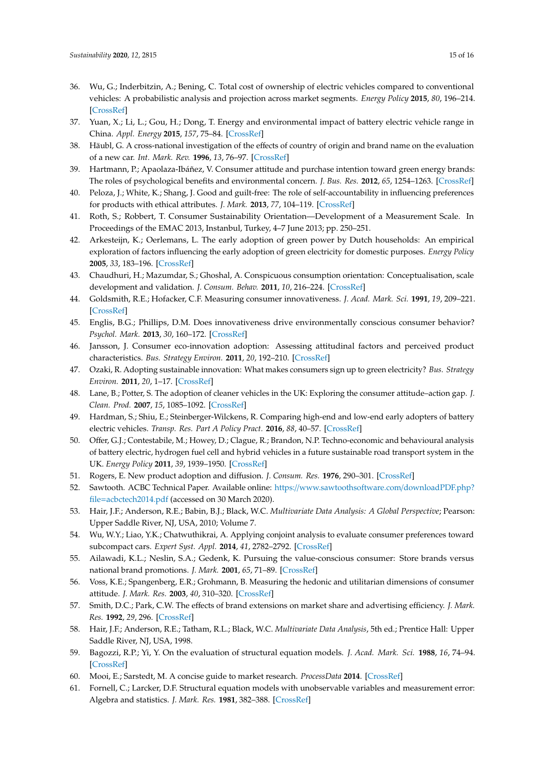- <span id="page-14-0"></span>36. Wu, G.; Inderbitzin, A.; Bening, C. Total cost of ownership of electric vehicles compared to conventional vehicles: A probabilistic analysis and projection across market segments. *Energy Policy* **2015**, *80*, 196–214. [\[CrossRef\]](http://dx.doi.org/10.1016/j.enpol.2015.02.004)
- <span id="page-14-1"></span>37. Yuan, X.; Li, L.; Gou, H.; Dong, T. Energy and environmental impact of battery electric vehicle range in China. *Appl. Energy* **2015**, *157*, 75–84. [\[CrossRef\]](http://dx.doi.org/10.1016/j.apenergy.2015.08.001)
- <span id="page-14-2"></span>38. Häubl, G. A cross-national investigation of the effects of country of origin and brand name on the evaluation of a new car. *Int. Mark. Rev.* **1996**, *13*, 76–97. [\[CrossRef\]](http://dx.doi.org/10.1108/02651339610131405)
- <span id="page-14-3"></span>39. Hartmann, P.; Apaolaza-Ibáñez, V. Consumer attitude and purchase intention toward green energy brands: The roles of psychological benefits and environmental concern. *J. Bus. Res.* **2012**, *65*, 1254–1263. [\[CrossRef\]](http://dx.doi.org/10.1016/j.jbusres.2011.11.001)
- <span id="page-14-4"></span>40. Peloza, J.; White, K.; Shang, J. Good and guilt-free: The role of self-accountability in influencing preferences for products with ethical attributes. *J. Mark.* **2013**, *77*, 104–119. [\[CrossRef\]](http://dx.doi.org/10.1509/jm.11.0454)
- <span id="page-14-5"></span>41. Roth, S.; Robbert, T. Consumer Sustainability Orientation—Development of a Measurement Scale. In Proceedings of the EMAC 2013, Instanbul, Turkey, 4–7 June 2013; pp. 250–251.
- <span id="page-14-6"></span>42. Arkesteijn, K.; Oerlemans, L. The early adoption of green power by Dutch households: An empirical exploration of factors influencing the early adoption of green electricity for domestic purposes. *Energy Policy* **2005**, *33*, 183–196. [\[CrossRef\]](http://dx.doi.org/10.1016/S0301-4215(03)00209-X)
- <span id="page-14-7"></span>43. Chaudhuri, H.; Mazumdar, S.; Ghoshal, A. Conspicuous consumption orientation: Conceptualisation, scale development and validation. *J. Consum. Behav.* **2011**, *10*, 216–224. [\[CrossRef\]](http://dx.doi.org/10.1002/cb.364)
- <span id="page-14-8"></span>44. Goldsmith, R.E.; Hofacker, C.F. Measuring consumer innovativeness. *J. Acad. Mark. Sci.* **1991**, *19*, 209–221. [\[CrossRef\]](http://dx.doi.org/10.1007/BF02726497)
- <span id="page-14-9"></span>45. Englis, B.G.; Phillips, D.M. Does innovativeness drive environmentally conscious consumer behavior? *Psychol. Mark.* **2013**, *30*, 160–172. [\[CrossRef\]](http://dx.doi.org/10.1002/mar.20595)
- <span id="page-14-10"></span>46. Jansson, J. Consumer eco-innovation adoption: Assessing attitudinal factors and perceived product characteristics. *Bus. Strategy Environ.* **2011**, *20*, 192–210. [\[CrossRef\]](http://dx.doi.org/10.1002/bse.690)
- <span id="page-14-11"></span>47. Ozaki, R. Adopting sustainable innovation: What makes consumers sign up to green electricity? *Bus. Strategy Environ.* **2011**, *20*, 1–17. [\[CrossRef\]](http://dx.doi.org/10.1002/bse.650)
- <span id="page-14-12"></span>48. Lane, B.; Potter, S. The adoption of cleaner vehicles in the UK: Exploring the consumer attitude–action gap. *J. Clean. Prod.* **2007**, *15*, 1085–1092. [\[CrossRef\]](http://dx.doi.org/10.1016/j.jclepro.2006.05.026)
- <span id="page-14-13"></span>49. Hardman, S.; Shiu, E.; Steinberger-Wilckens, R. Comparing high-end and low-end early adopters of battery electric vehicles. *Transp. Res. Part A Policy Pract.* **2016**, *88*, 40–57. [\[CrossRef\]](http://dx.doi.org/10.1016/j.tra.2016.03.010)
- <span id="page-14-14"></span>50. Offer, G.J.; Contestabile, M.; Howey, D.; Clague, R.; Brandon, N.P. Techno-economic and behavioural analysis of battery electric, hydrogen fuel cell and hybrid vehicles in a future sustainable road transport system in the UK. *Energy Policy* **2011**, *39*, 1939–1950. [\[CrossRef\]](http://dx.doi.org/10.1016/j.enpol.2011.01.006)
- <span id="page-14-15"></span>51. Rogers, E. New product adoption and diffusion. *J. Consum. Res.* **1976**, 290–301. [\[CrossRef\]](http://dx.doi.org/10.1086/208642)
- <span id="page-14-16"></span>52. Sawtooth. ACBC Technical Paper. Available online: https://[www.sawtoothsoftware.com](https://www.sawtoothsoftware.com/downloadPDF.php?file=acbctech2014.pdf)/downloadPDF.php? file=[acbctech2014.pdf](https://www.sawtoothsoftware.com/downloadPDF.php?file=acbctech2014.pdf) (accessed on 30 March 2020).
- <span id="page-14-17"></span>53. Hair, J.F.; Anderson, R.E.; Babin, B.J.; Black, W.C. *Multivariate Data Analysis: A Global Perspective*; Pearson: Upper Saddle River, NJ, USA, 2010; Volume 7.
- <span id="page-14-18"></span>54. Wu, W.Y.; Liao, Y.K.; Chatwuthikrai, A. Applying conjoint analysis to evaluate consumer preferences toward subcompact cars. *Expert Syst. Appl.* **2014**, *41*, 2782–2792. [\[CrossRef\]](http://dx.doi.org/10.1016/j.eswa.2013.10.011)
- <span id="page-14-19"></span>55. Ailawadi, K.L.; Neslin, S.A.; Gedenk, K. Pursuing the value-conscious consumer: Store brands versus national brand promotions. *J. Mark.* **2001**, *65*, 71–89. [\[CrossRef\]](http://dx.doi.org/10.1509/jmkg.65.1.71.18132)
- <span id="page-14-20"></span>56. Voss, K.E.; Spangenberg, E.R.; Grohmann, B. Measuring the hedonic and utilitarian dimensions of consumer attitude. *J. Mark. Res.* **2003**, *40*, 310–320. [\[CrossRef\]](http://dx.doi.org/10.1509/jmkr.40.3.310.19238)
- <span id="page-14-21"></span>57. Smith, D.C.; Park, C.W. The effects of brand extensions on market share and advertising efficiency. *J. Mark. Res.* **1992**, *29*, 296. [\[CrossRef\]](http://dx.doi.org/10.1177/002224379202900302)
- <span id="page-14-22"></span>58. Hair, J.F.; Anderson, R.E.; Tatham, R.L.; Black, W.C. *Multivariate Data Analysis*, 5th ed.; Prentice Hall: Upper Saddle River, NJ, USA, 1998.
- <span id="page-14-23"></span>59. Bagozzi, R.P.; Yi, Y. On the evaluation of structural equation models. *J. Acad. Mark. Sci.* **1988**, *16*, 74–94. [\[CrossRef\]](http://dx.doi.org/10.1007/BF02723327)
- <span id="page-14-24"></span>60. Mooi, E.; Sarstedt, M. A concise guide to market research. *ProcessData* **2014**. [\[CrossRef\]](http://dx.doi.org/10.1007/978-3-642-53965-7)
- <span id="page-14-25"></span>61. Fornell, C.; Larcker, D.F. Structural equation models with unobservable variables and measurement error: Algebra and statistics. *J. Mark. Res.* **1981**, 382–388. [\[CrossRef\]](http://dx.doi.org/10.1177/002224378101800313)